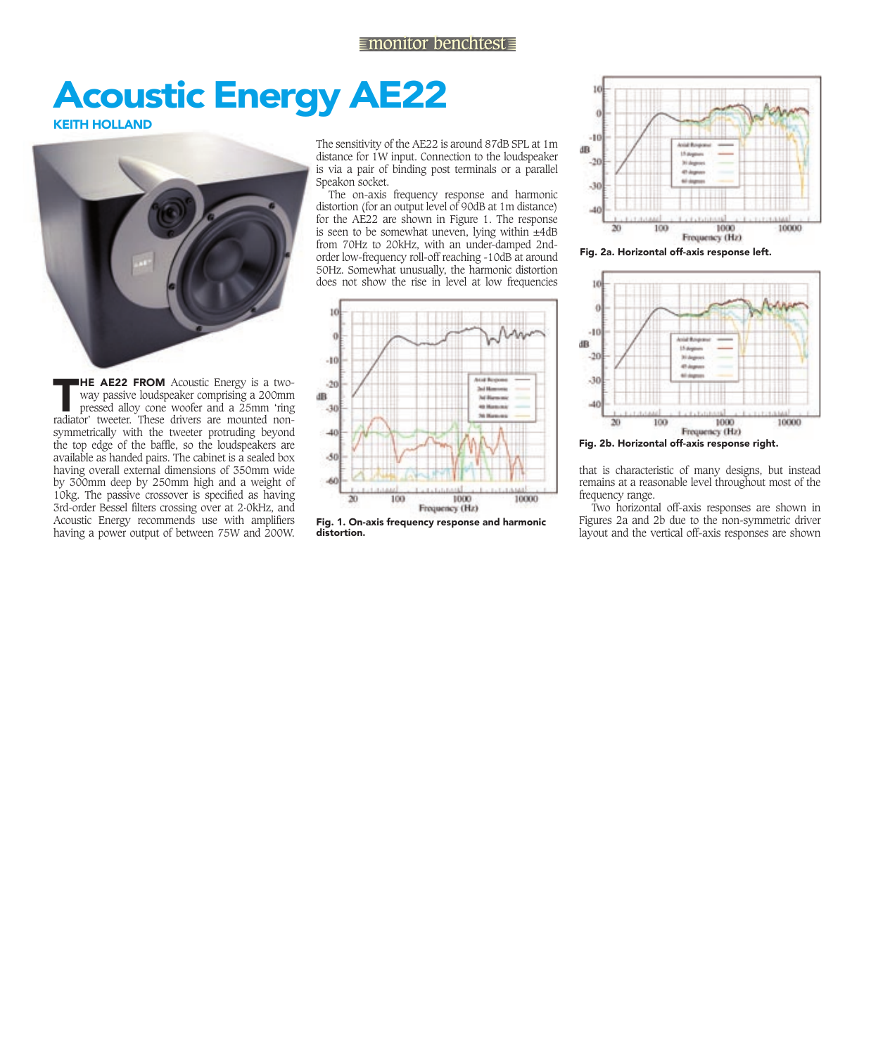## **Acoustic Energy AE22**

**KEITH HOLLAND** 



**THE AE22 FROM** Acoustic Energy is a two-<br>way passive loudspeaker comprising a 200mm<br>pressed alloy cone woofer and a 25mm 'ring<br>radiator' tweeter. These drivers are mounted non way passive loudspeaker comprising a 200mm pressed alloy cone woofer and a 25mm 'ring radiator' tweeter. These drivers are mounted nonsymmetrically with the tweeter protruding beyond the top edge of the baffle, so the loudspeakers are available as handed pairs. The cabinet is a sealed box having overall external dimensions of 350mm wide by 300mm deep by 250mm high and a weight of 10kg. The passive crossover is specified as having 3rd-order Bessel filters crossing over at 2-0kHz, and Acoustic Energy recommends use with amplifiers having a power output of between 75W and 200W.

The sensitivity of the AE22 is around 87dB SPL at 1m distance for 1W input. Connection to the loudspeaker is via a pair of binding post terminals or a parallel Speakon socket.

The on-axis frequency response and harmonic distortion (for an output level of 90dB at 1m distance) for the AE22 are shown in Figure 1. The response is seen to be somewhat uneven, lying within  $\pm 4$ dB from 70Hz to 20kHz, with an under-damped 2ndorder low-frequency roll-off reaching -10dB at around 50Hz. Somewhat unusually, the harmonic distortion does not show the rise in level at low frequencies



Fig. 1. On-axis frequency response and harmonic distortion.



fig. 2a. Horizontal off-axis response left.



fig. 2b. Horizontal off-axis response right.

that is characteristic of many designs, but instead remains at a reasonable level throughout most of the frequency range.

Two horizontal off-axis responses are shown in Figures 2a and 2b due to the non-symmetric driver layout and the vertical off-axis responses are shown